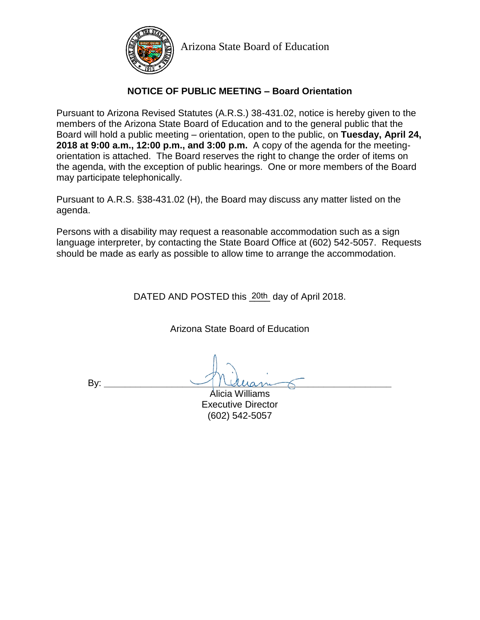

Arizona State Board of Education

## **NOTICE OF PUBLIC MEETING – Board Orientation**

Pursuant to Arizona Revised Statutes (A.R.S.) 38-431.02, notice is hereby given to the members of the Arizona State Board of Education and to the general public that the Board will hold a public meeting – orientation, open to the public, on **Tuesday, April 24, 2018 at 9:00 a.m., 12:00 p.m., and 3:00 p.m.** A copy of the agenda for the meetingorientation is attached. The Board reserves the right to change the order of items on the agenda, with the exception of public hearings. One or more members of the Board may participate telephonically.

Pursuant to A.R.S. §38-431.02 (H), the Board may discuss any matter listed on the agenda.

Persons with a disability may request a reasonable accommodation such as a sign language interpreter, by contacting the State Board Office at (602) 542-5057. Requests should be made as early as possible to allow time to arrange the accommodation.

DATED AND POSTED this 20th day of April 2018.

Arizona State Board of Education

By: **\_\_\_\_\_\_\_\_\_\_\_\_\_\_\_\_\_\_\_\_\_\_\_\_\_\_\_\_\_\_\_\_\_\_\_\_\_\_\_\_\_\_\_\_\_\_\_\_\_\_\_\_\_\_\_**

Alicia Williams Executive Director (602) 542-5057